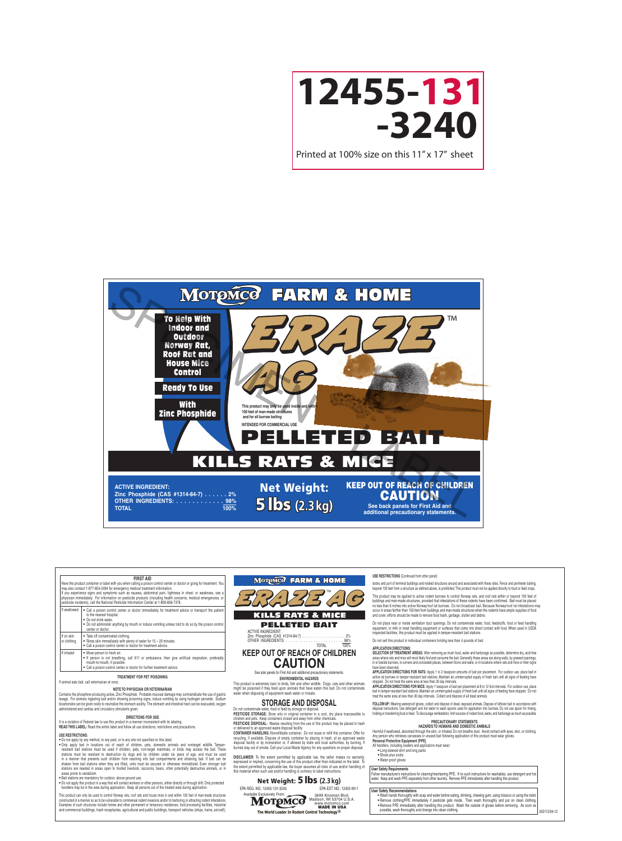

To Help With Indoor and Outdoor Norway Rat, Roof Rat and House Mice Control

Ready To Use

**With** Zinc Phosphide





This product may only be used inside and with **100 feet of man-made structures and for all burrow baiting**

**INTENDED FOR COMMERCIAL USE**

# KILLS RATS & MICE PELLETED BAIT

**ACTIVE INGREDIENT: Zinc Phosphide (CAS #1314-84-7) . . . . . . 2% OTHER INGREDIENTS: . . . . . . . . . . . OTHER INGREDIENTS:** . . . . . . . . . . . . . 98%<br>**100%**  5 lbs **(2.3 kg)** Net Weight:

## KEEP OUT OF REACH OF CHILDREN **CAUTION**

**See back panels for First Aid and additional precautionary statements.**